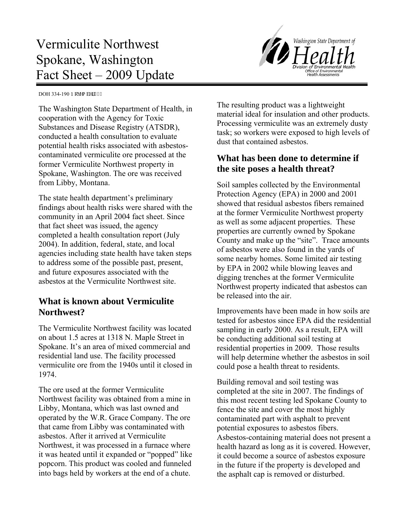# Vermiculite Northwest Spokane, Washington Fact Sheet – 2009 Update



DOH 334-190 P qxgo dgt "422

The Washington State Department of Health, in cooperation with the Agency for Toxic Substances and Disease Registry (ATSDR), conducted a health consultation to evaluate potential health risks associated with asbestoscontaminated vermiculite ore processed at the former Vermiculite Northwest property in Spokane, Washington. The ore was received from Libby, Montana.

The state health department's preliminary findings about health risks were shared with the community in an April 2004 fact sheet. Since that fact sheet was issued, the agency completed a health consultation report (July 2004). In addition, federal, state, and local agencies including state health have taken steps to address some of the possible past, present, and future exposures associated with the asbestos at the Vermiculite Northwest site.

## **What is known about Vermiculite Northwest?**

The Vermiculite Northwest facility was located on about 1.5 acres at 1318 N. Maple Street in Spokane. It's an area of mixed commercial and residential land use. The facility processed vermiculite ore from the 1940s until it closed in 1974.

The ore used at the former Vermiculite Northwest facility was obtained from a mine in Libby, Montana, which was last owned and operated by the W.R. Grace Company. The ore that came from Libby was contaminated with asbestos. After it arrived at Vermiculite Northwest, it was processed in a furnace where it was heated until it expanded or "popped" like popcorn. This product was cooled and funneled into bags held by workers at the end of a chute.

The resulting product was a lightweight material ideal for insulation and other products. Processing vermiculite was an extremely dusty task; so workers were exposed to high levels of dust that contained asbestos.

# **What has been done to determine if the site poses a health threat?**

Soil samples collected by the Environmental Protection Agency (EPA) in 2000 and 2001 showed that residual asbestos fibers remained at the former Vermiculite Northwest property as well as some adjacent properties. These properties are currently owned by Spokane County and make up the "site". Trace amounts of asbestos were also found in the yards of some nearby homes. Some limited air testing by EPA in 2002 while blowing leaves and digging trenches at the former Vermiculite Northwest property indicated that asbestos can be released into the air.

Improvements have been made in how soils are tested for asbestos since EPA did the residential sampling in early 2000. As a result, EPA will be conducting additional soil testing at residential properties in 2009. Those results will help determine whether the asbestos in soil could pose a health threat to residents.

Building removal and soil testing was completed at the site in 2007. The findings of this most recent testing led Spokane County to fence the site and cover the most highly contaminated part with asphalt to prevent potential exposures to asbestos fibers. Asbestos-containing material does not present a health hazard as long as it is covered. However, it could become a source of asbestos exposure in the future if the property is developed and the asphalt cap is removed or disturbed.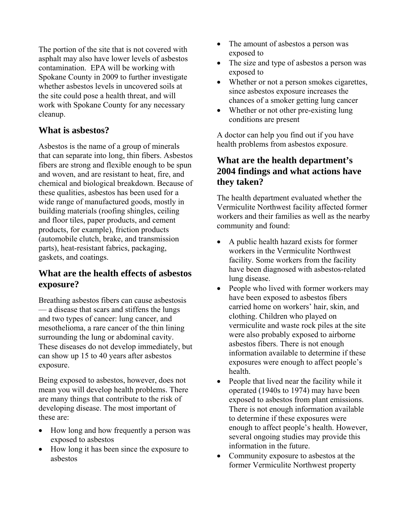The portion of the site that is not covered with asphalt may also have lower levels of asbestos contamination. EPA will be working with Spokane County in 2009 to further investigate whether asbestos levels in uncovered soils at the site could pose a health threat, and will work with Spokane County for any necessary cleanup.

#### **What is asbestos?**

Asbestos is the name of a group of minerals that can separate into long, thin fibers. Asbestos fibers are strong and flexible enough to be spun and woven, and are resistant to heat, fire, and chemical and biological breakdown. Because of these qualities, asbestos has been used for a wide range of manufactured goods, mostly in building materials (roofing shingles, ceiling and floor tiles, paper products, and cement products, for example), friction products (automobile clutch, brake, and transmission parts), heat-resistant fabrics, packaging, gaskets, and coatings.

## **What are the health effects of asbestos exposure?**

Breathing asbestos fibers can cause asbestosis — a disease that scars and stiffens the lungs and two types of cancer: lung cancer, and mesothelioma, a rare cancer of the thin lining surrounding the lung or abdominal cavity. These diseases do not develop immediately, but can show up 15 to 40 years after asbestos exposure.

Being exposed to asbestos, however, does not mean you will develop health problems. There are many things that contribute to the risk of developing disease. The most important of these are:

- How long and how frequently a person was exposed to asbestos
- How long it has been since the exposure to asbestos
- The amount of asbestos a person was exposed to
- The size and type of asbestos a person was exposed to
- Whether or not a person smokes cigarettes, since asbestos exposure increases the chances of a smoker getting lung cancer
- Whether or not other pre-existing lung conditions are present

A doctor can help you find out if you have health problems from asbestos exposure.

#### **What are the health department's 2004 findings and what actions have they taken?**

The health department evaluated whether the Vermiculite Northwest facility affected former workers and their families as well as the nearby community and found:

- A public health hazard exists for former workers in the Vermiculite Northwest facility. Some workers from the facility have been diagnosed with asbestos-related lung disease.
- People who lived with former workers may have been exposed to asbestos fibers carried home on workers' hair, skin, and clothing. Children who played on vermiculite and waste rock piles at the site were also probably exposed to airborne asbestos fibers. There is not enough information available to determine if these exposures were enough to affect people's health.
- People that lived near the facility while it operated (1940s to 1974) may have been exposed to asbestos from plant emissions. There is not enough information available to determine if these exposures were enough to affect people's health. However, several ongoing studies may provide this information in the future.
- Community exposure to asbestos at the former Vermiculite Northwest property